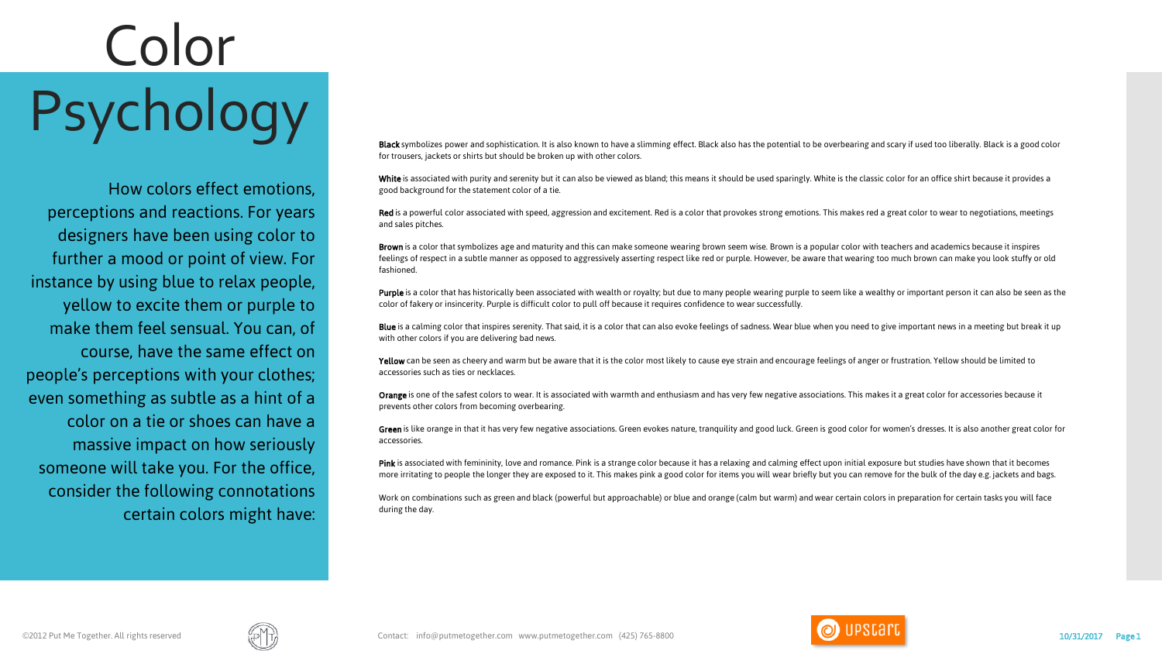## Color **PSYCHOODY**<br>Black symbolizes power and sophistication. It is also known to have a slimming effect. Black also has the potential to be overbearing and scary if used too liberally. Black is a good color

How colors effect emotions, perceptions and reactions. For years designers have been using color to further a mood or point of view. For instance by using blue to relax people, yellow to excite them or purple to make them feel sensual. You can, of course, have the same effect on people's perceptions with your clothes; even something as subtle as a hint of a color on a tie or shoes can have a massive impact on how seriously someone will take you. For the office, consider the following connotations certain colors might have:

for trousers, jackets or shirts but should be broken up with other colors.

White is associated with purity and serenity but it can also be viewed as bland; this means it should be used sparingly. White is the classic color for an office shirt because it provides a good background for the statement color of a tie.

Red is a powerful color associated with speed, aggression and excitement. Red is a color that provokes strong emotions. This makes red a great color to wear to negotiations, meetings and sales pitches.

Brown is a color that symbolizes age and maturity and this can make someone wearing brown seem wise. Brown is a popular color with teachers and academics because it inspires feelings of respect in a subtle manner as opposed to aggressively asserting respect like red or purple. However, be aware that wearing too much brown can make you look stuffy or old fashioned.

Purple is a color that has historically been associated with wealth or royalty; but due to many people wearing purple to seem like a wealthy or important person it can also be seen as the color of fakery or insincerity. Purple is difficult color to pull off because it requires confidence to wear successfully.

Blue is a calming color that inspires serenity. That said, it is a color that can also evoke feelings of sadness. Wear blue when you need to give important news in a meeting but break it up with other colors if you are delivering bad news.

Yellow can be seen as cheery and warm but be aware that it is the color most likely to cause eye strain and encourage feelings of anger or frustration. Yellow should be limited to accessories such as ties or necklaces.

Orange is one of the safest colors to wear. It is associated with warmth and enthusiasm and has very few negative associations. This makes it a great color for accessories because it prevents other colors from becoming overbearing.

Green is like orange in that it has very few negative associations. Green evokes nature, tranquility and good luck. Green is good color for women's dresses. It is also another great color for accessories.

Pink is associated with femininity, love and romance. Pink is a strange color because it has a relaxing and calming effect upon initial exposure but studies have shown that it becomes more irritating to people the longer they are exposed to it. This makes pink a good color for items you will wear briefly but you can remove for the bulk of the day e.g. jackets and bags.

Work on combinations such as green and black (powerful but approachable) or blue and orange (calm but warm) and wear certain colors in preparation for certain tasks you will face during the day.